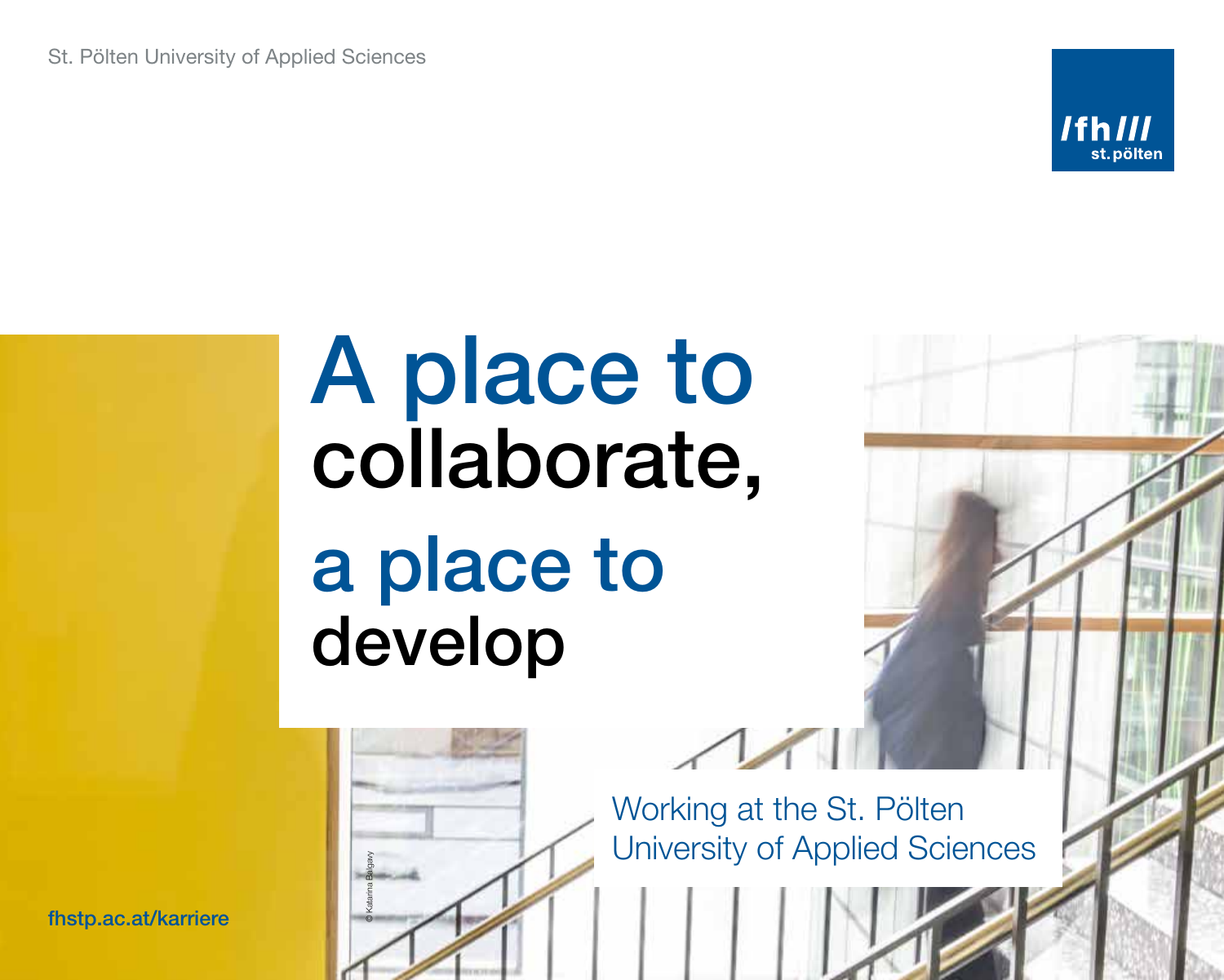St. Pölten University of Applied Sciences



# A place to collaborate, a place to develop



Working at the St. Pölten University of Applied Sciences

fhstp.ac.at/karriere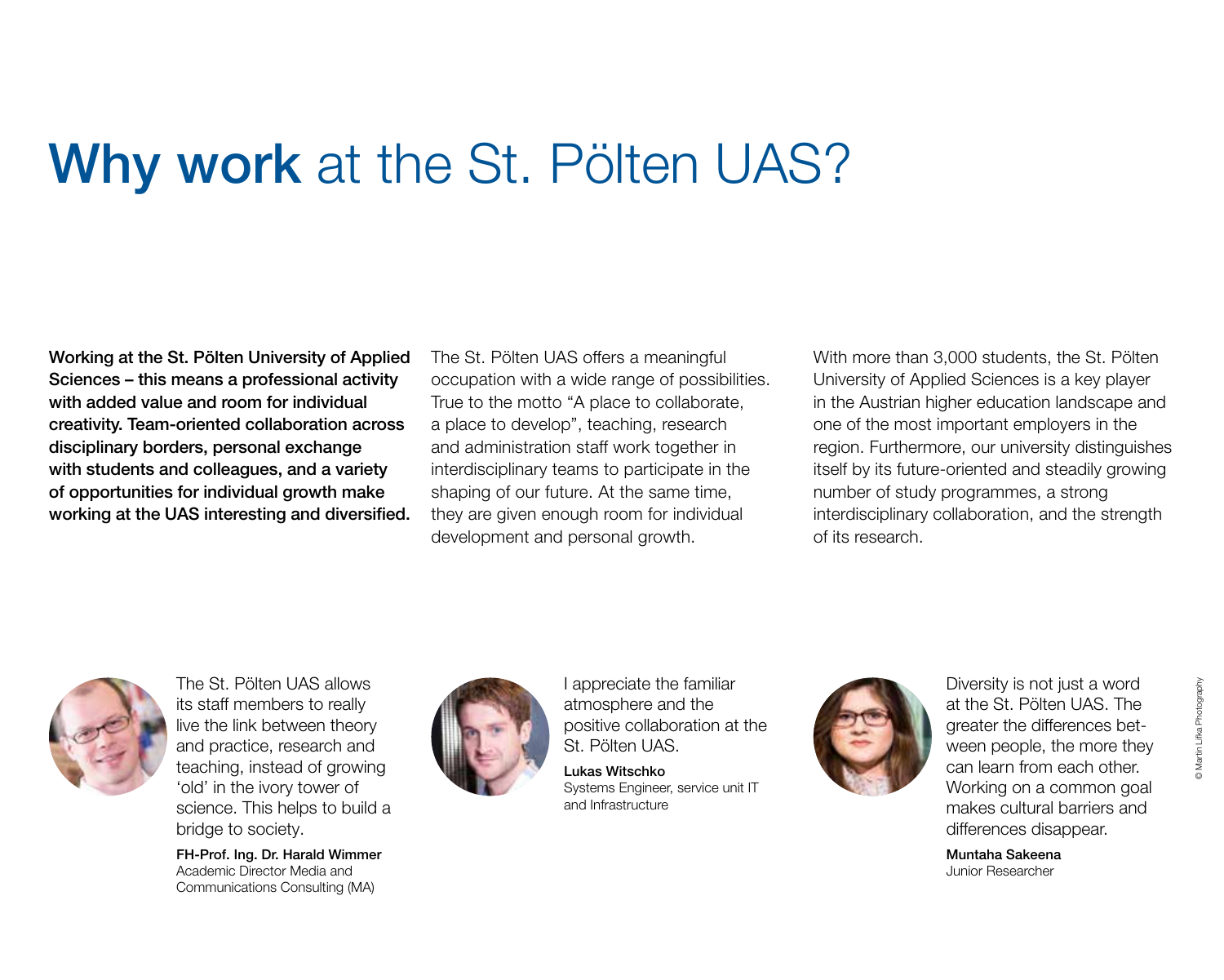#### Why work at the St. Pölten UAS?

Working at the St. Pölten University of Applied Sciences – this means a professional activity with added value and room for individual creativity. Team-oriented collaboration across disciplinary borders, personal exchange with students and colleagues, and a variety of opportunities for individual growth make working at the UAS interesting and diversified. The St. Pölten UAS offers a meaningful occupation with a wide range of possibilities. True to the motto "A place to collaborate, a place to develop", teaching, research and administration staff work together in interdisciplinary teams to participate in the shaping of our future. At the same time, they are given enough room for individual development and personal growth.

With more than 3,000 students, the St. Pölten University of Applied Sciences is a key player in the Austrian higher education landscape and one of the most important employers in the region. Furthermore, our university distinguishes itself by its future-oriented and steadily growing number of study programmes, a strong interdisciplinary collaboration, and the strength of its research.



The St. Pölten UAS allows its staff members to really live the link between theory and practice, research and teaching, instead of growing 'old' in the ivory tower of science. This helps to build a bridge to society.

FH-Prof. Ing. Dr. Harald Wimmer Academic Director Media and Communications Consulting (MA)



I appreciate the familiar atmosphere and the positive collaboration at the St. Pölten UAS.

Lukas Witschko Systems Engineer, service unit IT and Infrastructure



Diversity is not just a word at the St. Pölten UAS. The greater the differences between people, the more they can learn from each other. Working on a common goal makes cultural barriers and differences disappear.

Muntaha Sakeena Junior Researcher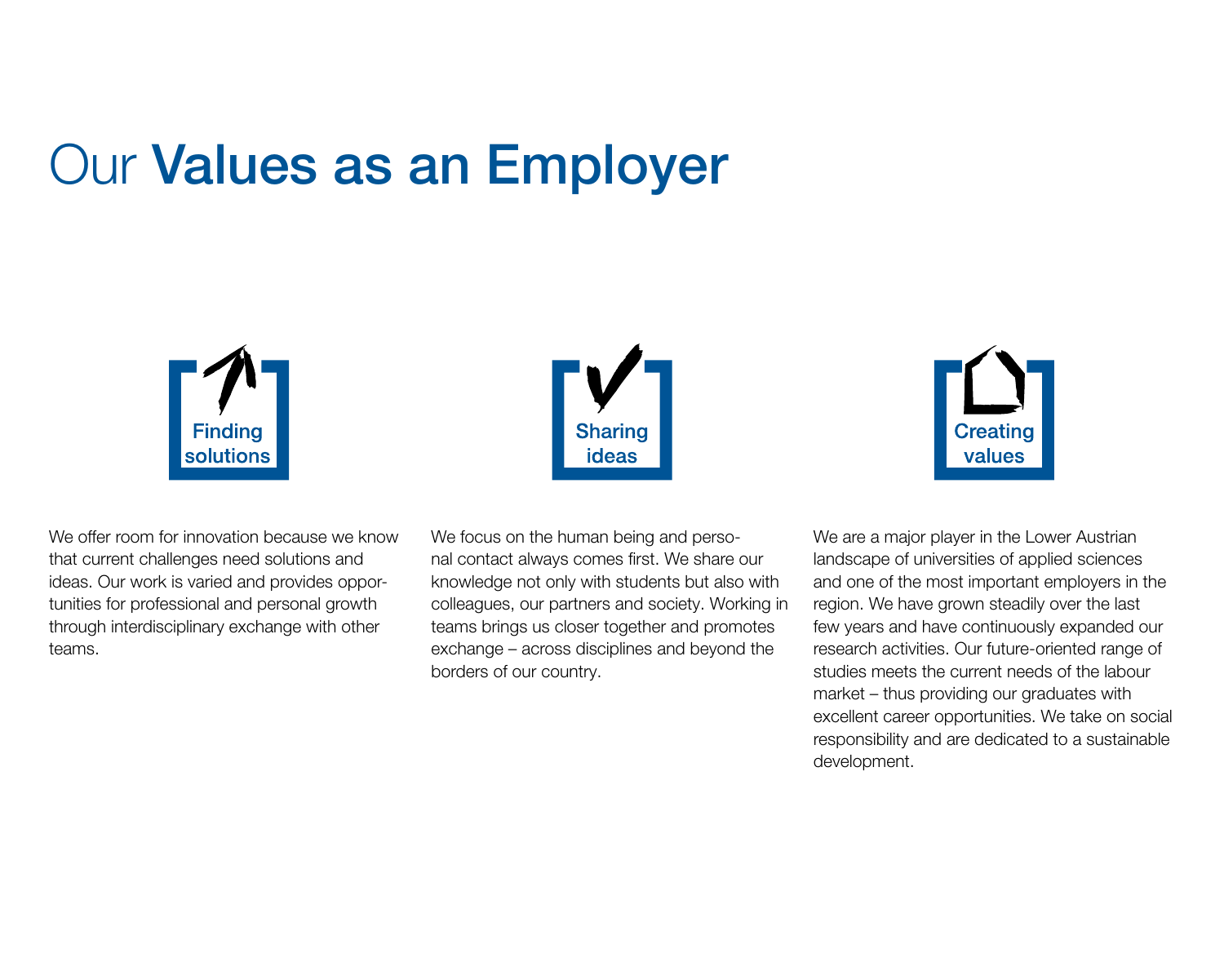### Our Values as an Employer







We offer room for innovation because we know that current challenges need solutions and ideas. Our work is varied and provides opportunities for professional and personal growth through interdisciplinary exchange with other teams.

We focus on the human being and personal contact always comes first. We share our knowledge not only with students but also with colleagues, our partners and society. Working in teams brings us closer together and promotes exchange – across disciplines and beyond the borders of our country.

We are a major player in the Lower Austrian landscape of universities of applied sciences and one of the most important employers in the region. We have grown steadily over the last few years and have continuously expanded our research activities. Our future-oriented range of studies meets the current needs of the labour market – thus providing our graduates with excellent career opportunities. We take on social responsibility and are dedicated to a sustainable development.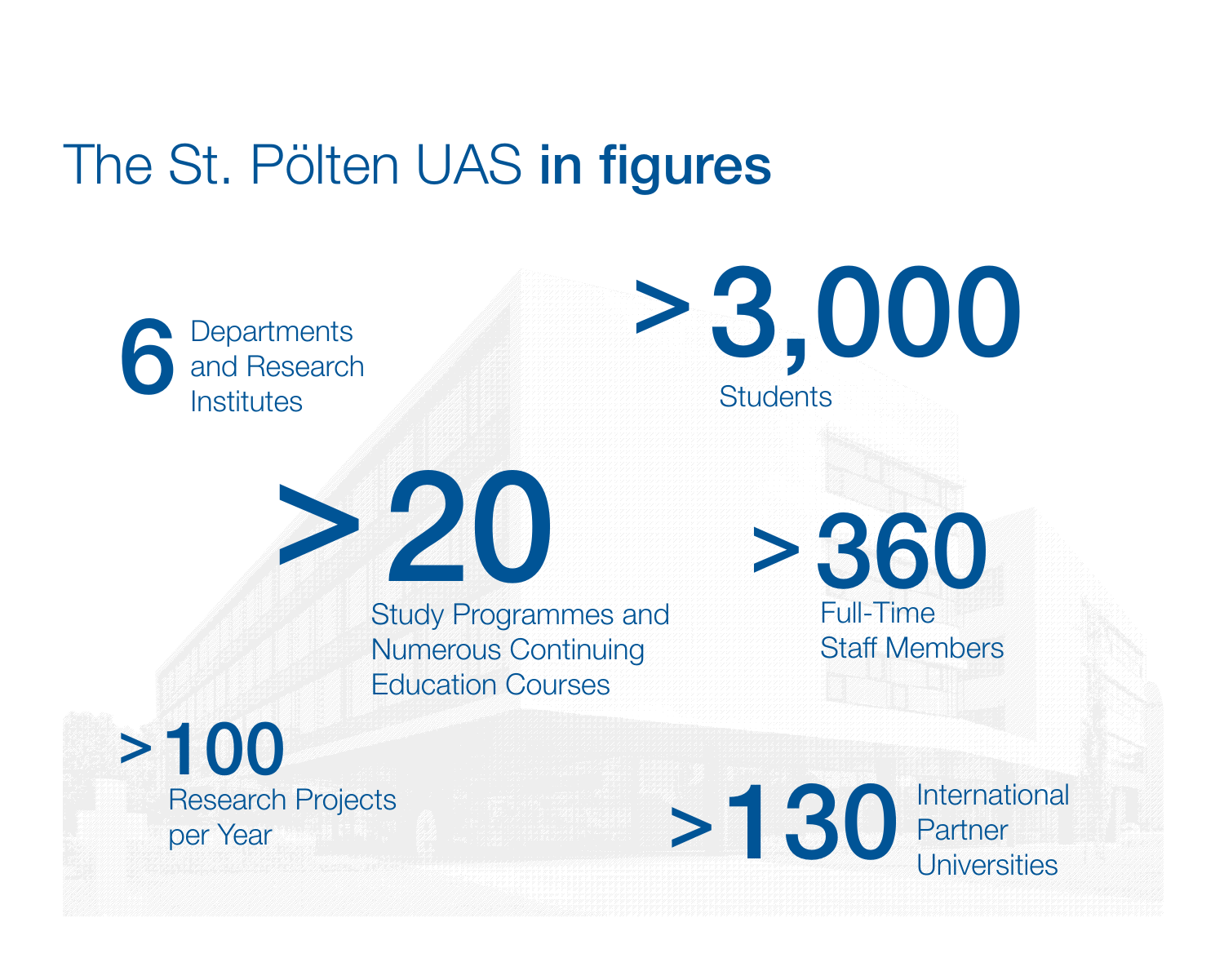#### The St. Pölten UAS in figures

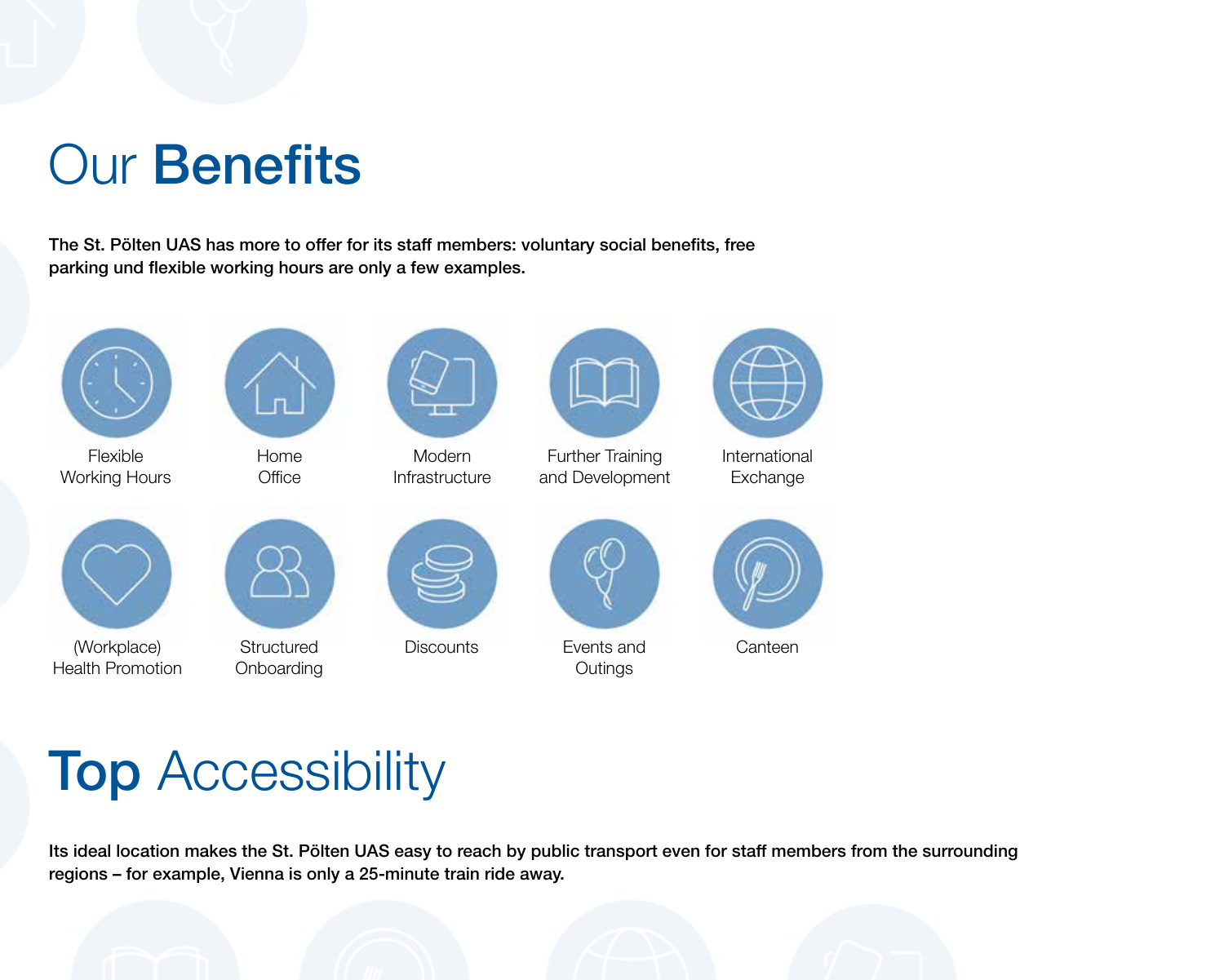#### Our Benefits

The St. Pölten UAS has more to offer for its staff members: voluntary social benefits, free parking und flexible working hours are only a few examples.





Flexible Working Hours



Home **Office** 



**Modern Infrastructure** 



Further Training and Development



International Exchange





(Workplace) Health Promotion

**Structured Onboarding** 



Discounts Events and



**Outings** 



**Canteen** 

## **Top Accessibility**

Its ideal location makes the St. Pölten UAS easy to reach by public transport even for staff members from the surrounding regions – for example, Vienna is only a 25-minute train ride away.